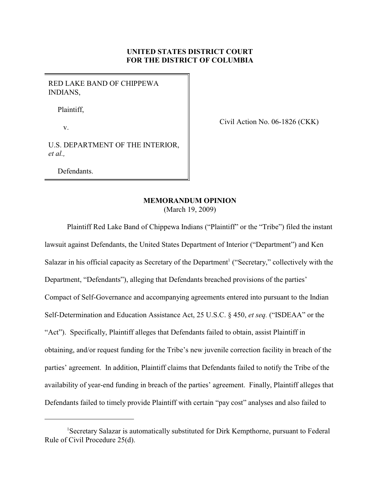# **UNITED STATES DISTRICT COURT FOR THE DISTRICT OF COLUMBIA**

RED LAKE BAND OF CHIPPEWA INDIANS,

Plaintiff,

v.

Civil Action No. 06-1826 (CKK)

U.S. DEPARTMENT OF THE INTERIOR, *et al.,*

Defendants.

## **MEMORANDUM OPINION**

(March 19, 2009)

Plaintiff Red Lake Band of Chippewa Indians ("Plaintiff" or the "Tribe") filed the instant lawsuit against Defendants, the United States Department of Interior ("Department") and Ken Salazar in his official capacity as Secretary of the Department<sup>1</sup> ("Secretary," collectively with the Department, "Defendants"), alleging that Defendants breached provisions of the parties' Compact of Self-Governance and accompanying agreements entered into pursuant to the Indian Self-Determination and Education Assistance Act, 25 U.S.C. § 450, *et seq.* ("ISDEAA" or the "Act"). Specifically, Plaintiff alleges that Defendants failed to obtain, assist Plaintiff in obtaining, and/or request funding for the Tribe's new juvenile correction facility in breach of the parties' agreement. In addition, Plaintiff claims that Defendants failed to notify the Tribe of the availability of year-end funding in breach of the parties' agreement. Finally, Plaintiff alleges that Defendants failed to timely provide Plaintiff with certain "pay cost" analyses and also failed to

<sup>&</sup>lt;sup>1</sup>Secretary Salazar is automatically substituted for Dirk Kempthorne, pursuant to Federal Rule of Civil Procedure 25(d).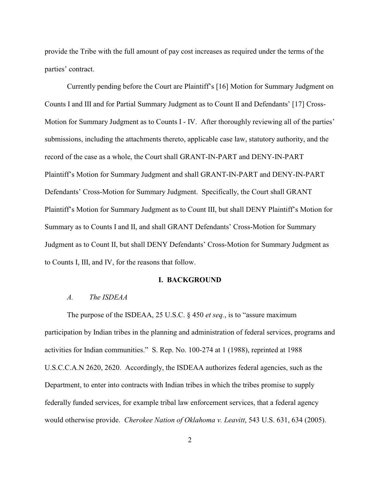provide the Tribe with the full amount of pay cost increases as required under the terms of the parties' contract.

Currently pending before the Court are Plaintiff's [16] Motion for Summary Judgment on Counts I and III and for Partial Summary Judgment as to Count II and Defendants' [17] Cross-Motion for Summary Judgment as to Counts I - IV. After thoroughly reviewing all of the parties' submissions, including the attachments thereto, applicable case law, statutory authority, and the record of the case as a whole, the Court shall GRANT-IN-PART and DENY-IN-PART Plaintiff's Motion for Summary Judgment and shall GRANT-IN-PART and DENY-IN-PART Defendants' Cross-Motion for Summary Judgment. Specifically, the Court shall GRANT Plaintiff's Motion for Summary Judgment as to Count III, but shall DENY Plaintiff's Motion for Summary as to Counts I and II, and shall GRANT Defendants' Cross-Motion for Summary Judgment as to Count II, but shall DENY Defendants' Cross-Motion for Summary Judgment as to Counts I, III, and IV, for the reasons that follow.

#### **I. BACKGROUND**

## *A. The ISDEAA*

The purpose of the ISDEAA, 25 U.S.C. § 450 *et seq.*, is to "assure maximum participation by Indian tribes in the planning and administration of federal services, programs and activities for Indian communities." S. Rep. No. 100-274 at 1 (1988), reprinted at 1988 U.S.C.C.A.N 2620, 2620. Accordingly, the ISDEAA authorizes federal agencies, such as the Department, to enter into contracts with Indian tribes in which the tribes promise to supply federally funded services, for example tribal law enforcement services, that a federal agency would otherwise provide. *Cherokee Nation of Oklahoma v. Leavitt*, 543 U.S. 631, 634 (2005).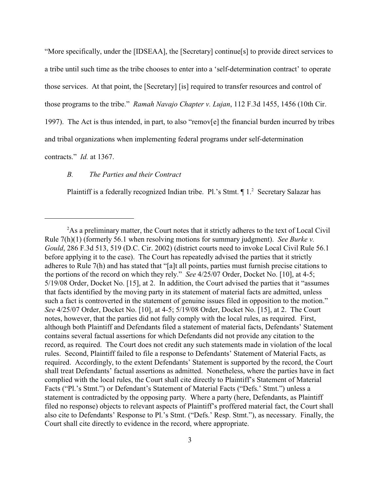"More specifically, under the [IDSEAA], the [Secretary] continue[s] to provide direct services to a tribe until such time as the tribe chooses to enter into a 'self-determination contract' to operate those services. At that point, the [Secretary] [is] required to transfer resources and control of those programs to the tribe." *Ramah Navajo Chapter v. Lujan*, 112 F.3d 1455, 1456 (10th Cir.

1997). The Act is thus intended, in part, to also "remov[e] the financial burden incurred by tribes

and tribal organizations when implementing federal programs under self-determination

contracts." *Id.* at 1367.

# *B. The Parties and their Contract*

Plaintiff is a federally recognized Indian tribe. Pl.'s Stmt.  $\P 1$ <sup>2</sup> Secretary Salazar has

<sup>&</sup>lt;sup>2</sup>As a preliminary matter, the Court notes that it strictly adheres to the text of Local Civil Rule 7(h)(1) (formerly 56.1 when resolving motions for summary judgment). *See Burke v. Gould*, 286 F.3d 513, 519 (D.C. Cir. 2002) (district courts need to invoke Local Civil Rule 56.1 before applying it to the case). The Court has repeatedly advised the parties that it strictly adheres to Rule 7(h) and has stated that "[a]t all points, parties must furnish precise citations to the portions of the record on which they rely." *See* 4/25/07 Order, Docket No. [10], at 4-5; 5/19/08 Order, Docket No. [15], at 2. In addition, the Court advised the parties that it "assumes that facts identified by the moving party in its statement of material facts are admitted, unless such a fact is controverted in the statement of genuine issues filed in opposition to the motion." *See* 4/25/07 Order, Docket No. [10], at 4-5; 5/19/08 Order, Docket No. [15], at 2. The Court notes, however, that the parties did not fully comply with the local rules, as required. First, although both Plaintiff and Defendants filed a statement of material facts, Defendants' Statement contains several factual assertions for which Defendants did not provide any citation to the record, as required. The Court does not credit any such statements made in violation of the local rules. Second, Plaintiff failed to file a response to Defendants' Statement of Material Facts, as required. Accordingly, to the extent Defendants' Statement is supported by the record, the Court shall treat Defendants' factual assertions as admitted. Nonetheless, where the parties have in fact complied with the local rules, the Court shall cite directly to Plaintiff's Statement of Material Facts ("Pl.'s Stmt.") or Defendant's Statement of Material Facts ("Defs.' Stmt.") unless a statement is contradicted by the opposing party. Where a party (here, Defendants, as Plaintiff filed no response) objects to relevant aspects of Plaintiff's proffered material fact, the Court shall also cite to Defendants' Response to Pl.'s Stmt. ("Defs.' Resp. Stmt."), as necessary. Finally, the Court shall cite directly to evidence in the record, where appropriate.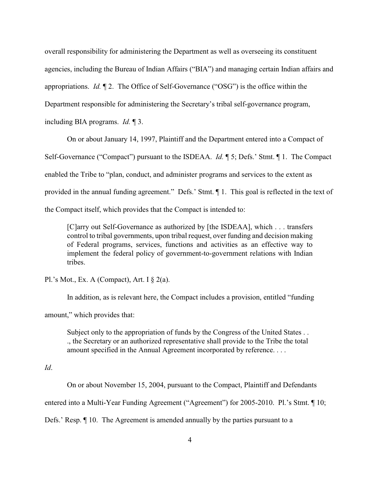overall responsibility for administering the Department as well as overseeing its constituent agencies, including the Bureau of Indian Affairs ("BIA") and managing certain Indian affairs and appropriations. *Id.* ¶ 2. The Office of Self-Governance ("OSG") is the office within the Department responsible for administering the Secretary's tribal self-governance program, including BIA programs. *Id.* ¶ 3.

On or about January 14, 1997, Plaintiff and the Department entered into a Compact of

Self-Governance ("Compact") pursuant to the ISDEAA. *Id.* ¶ 5; Defs.' Stmt. ¶ 1. The Compact

enabled the Tribe to "plan, conduct, and administer programs and services to the extent as

provided in the annual funding agreement." Defs.' Stmt. ¶ 1. This goal is reflected in the text of

the Compact itself, which provides that the Compact is intended to:

[C]arry out Self-Governance as authorized by [the ISDEAA], which . . . transfers control to tribal governments, upon tribal request, over funding and decision making of Federal programs, services, functions and activities as an effective way to implement the federal policy of government-to-government relations with Indian tribes.

Pl.'s Mot., Ex. A (Compact), Art. I  $\S$  2(a).

In addition, as is relevant here, the Compact includes a provision, entitled "funding

amount," which provides that:

Subject only to the appropriation of funds by the Congress of the United States . . ., the Secretary or an authorized representative shall provide to the Tribe the total amount specified in the Annual Agreement incorporated by reference. . . .

*Id*.

On or about November 15, 2004, pursuant to the Compact, Plaintiff and Defendants

entered into a Multi-Year Funding Agreement ("Agreement") for 2005-2010. Pl.'s Stmt. ¶ 10;

Defs.' Resp. ¶ 10. The Agreement is amended annually by the parties pursuant to a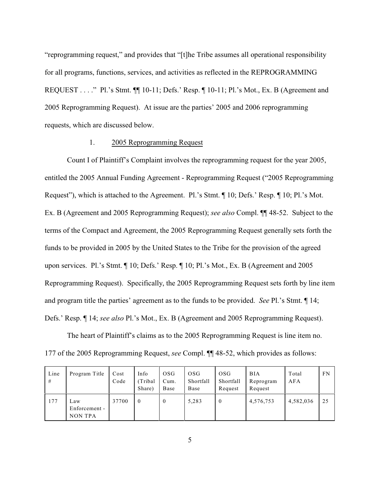"reprogramming request," and provides that "[t]he Tribe assumes all operational responsibility for all programs, functions, services, and activities as reflected in the REPROGRAMMING REQUEST . . . ." Pl.'s Stmt. ¶¶ 10-11; Defs.' Resp. ¶ 10-11; Pl.'s Mot., Ex. B (Agreement and 2005 Reprogramming Request). At issue are the parties' 2005 and 2006 reprogramming requests, which are discussed below.

### 1. 2005 Reprogramming Request

Count I of Plaintiff's Complaint involves the reprogramming request for the year 2005, entitled the 2005 Annual Funding Agreement - Reprogramming Request ("2005 Reprogramming Request"), which is attached to the Agreement. Pl.'s Stmt. ¶ 10; Defs.' Resp. ¶ 10; Pl.'s Mot. Ex. B (Agreement and 2005 Reprogramming Request); *see also* Compl. ¶¶ 48-52. Subject to the terms of the Compact and Agreement, the 2005 Reprogramming Request generally sets forth the funds to be provided in 2005 by the United States to the Tribe for the provision of the agreed upon services. Pl.'s Stmt. ¶ 10; Defs.' Resp. ¶ 10; Pl.'s Mot., Ex. B (Agreement and 2005 Reprogramming Request). Specifically, the 2005 Reprogramming Request sets forth by line item and program title the parties' agreement as to the funds to be provided. *See* Pl.'s Stmt. ¶ 14; Defs.' Resp. ¶ 14; *see also* Pl.'s Mot., Ex. B (Agreement and 2005 Reprogramming Request).

The heart of Plaintiff's claims as to the 2005 Reprogramming Request is line item no. 177 of the 2005 Reprogramming Request, *see* Compl. ¶¶ 48-52, which provides as follows:

| Line<br># | Program Title                          | Cost<br>Code | Info<br>Tribal<br>Share) | 0 <sub>SG</sub><br>Cum.<br>Base | 0SG<br>Shortfall<br>Base | OSG<br>Shortfall<br>Request | <b>BIA</b><br>Reprogram<br>Request | Total<br>AFA | FN |
|-----------|----------------------------------------|--------------|--------------------------|---------------------------------|--------------------------|-----------------------------|------------------------------------|--------------|----|
| 177       | Law<br>Enforcement -<br><b>NON TPA</b> | 37700        | $\mathbf 0$              | $\bf{0}$                        | 5,283                    | $\theta$                    | 4,576,753                          | 4,582,036    | 25 |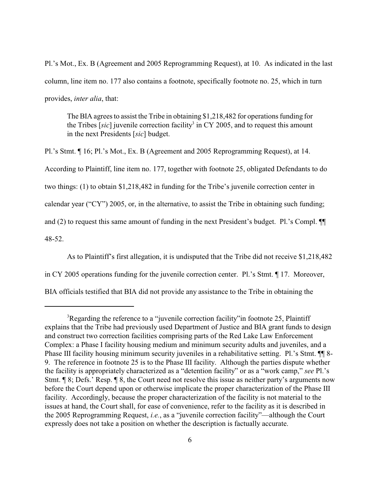Pl.'s Mot., Ex. B (Agreement and 2005 Reprogramming Request), at 10. As indicated in the last column, line item no. 177 also contains a footnote, specifically footnote no. 25, which in turn provides, *inter alia*, that:

The BIA agrees to assist the Tribe in obtaining \$1,218,482 for operations funding for the Tribes  $[sic]$  juvenile correction facility<sup>3</sup> in CY 2005, and to request this amount in the next Presidents [*sic*] budget.

Pl.'s Stmt. ¶ 16; Pl.'s Mot., Ex. B (Agreement and 2005 Reprogramming Request), at 14. According to Plaintiff, line item no. 177, together with footnote 25, obligated Defendants to do two things: (1) to obtain \$1,218,482 in funding for the Tribe's juvenile correction center in calendar year ("CY") 2005, or, in the alternative, to assist the Tribe in obtaining such funding; and (2) to request this same amount of funding in the next President's budget. Pl.'s Compl. ¶¶ 48-52.

As to Plaintiff's first allegation, it is undisputed that the Tribe did not receive \$1,218,482

in CY 2005 operations funding for the juvenile correction center. Pl.'s Stmt. ¶ 17. Moreover,

BIA officials testified that BIA did not provide any assistance to the Tribe in obtaining the

<sup>&</sup>lt;sup>3</sup>Regarding the reference to a "juvenile correction facility" in footnote 25, Plaintiff explains that the Tribe had previously used Department of Justice and BIA grant funds to design and construct two correction facilities comprising parts of the Red Lake Law Enforcement Complex: a Phase I facility housing medium and minimum security adults and juveniles, and a Phase III facility housing minimum security juveniles in a rehabilitative setting. Pl.'s Stmt.  $\P$  8-9. The reference in footnote 25 is to the Phase III facility. Although the parties dispute whether the facility is appropriately characterized as a "detention facility" or as a "work camp," *see* Pl.'s Stmt. ¶ 8; Defs.' Resp. ¶ 8, the Court need not resolve this issue as neither party's arguments now before the Court depend upon or otherwise implicate the proper characterization of the Phase III facility. Accordingly, because the proper characterization of the facility is not material to the issues at hand, the Court shall, for ease of convenience, refer to the facility as it is described in the 2005 Reprogramming Request, *i.e.*, as a "juvenile correction facility"—although the Court expressly does not take a position on whether the description is factually accurate.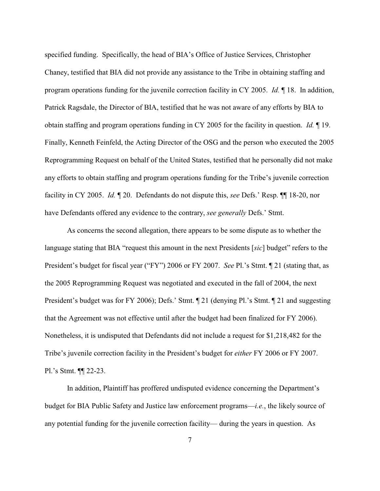specified funding. Specifically, the head of BIA's Office of Justice Services, Christopher Chaney, testified that BIA did not provide any assistance to the Tribe in obtaining staffing and program operations funding for the juvenile correction facility in CY 2005. *Id.* ¶ 18. In addition, Patrick Ragsdale, the Director of BIA, testified that he was not aware of any efforts by BIA to obtain staffing and program operations funding in CY 2005 for the facility in question. *Id.* ¶ 19. Finally, Kenneth Feinfeld, the Acting Director of the OSG and the person who executed the 2005 Reprogramming Request on behalf of the United States, testified that he personally did not make any efforts to obtain staffing and program operations funding for the Tribe's juvenile correction facility in CY 2005. *Id.* ¶ 20. Defendants do not dispute this, *see* Defs.' Resp. ¶¶ 18-20, nor have Defendants offered any evidence to the contrary, *see generally* Defs.' Stmt.

As concerns the second allegation, there appears to be some dispute as to whether the language stating that BIA "request this amount in the next Presidents [*sic*] budget" refers to the President's budget for fiscal year ("FY") 2006 or FY 2007. *See* Pl.'s Stmt. ¶ 21 (stating that, as the 2005 Reprogramming Request was negotiated and executed in the fall of 2004, the next President's budget was for FY 2006); Defs.' Stmt.  $\P$  21 (denying Pl.'s Stmt.  $\P$  21 and suggesting that the Agreement was not effective until after the budget had been finalized for FY 2006). Nonetheless, it is undisputed that Defendants did not include a request for \$1,218,482 for the Tribe's juvenile correction facility in the President's budget for *either* FY 2006 or FY 2007. Pl.'s Stmt. ¶¶ 22-23.

In addition, Plaintiff has proffered undisputed evidence concerning the Department's budget for BIA Public Safety and Justice law enforcement programs—*i.e.*, the likely source of any potential funding for the juvenile correction facility— during the years in question. As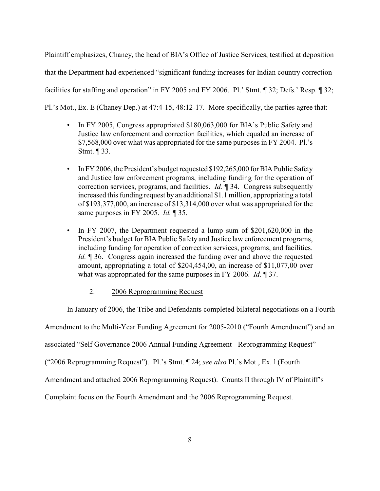Plaintiff emphasizes, Chaney, the head of BIA's Office of Justice Services, testified at deposition that the Department had experienced "significant funding increases for Indian country correction facilities for staffing and operation" in FY 2005 and FY 2006. Pl.' Stmt. ¶ 32; Defs.' Resp. ¶ 32; Pl.'s Mot., Ex. E (Chaney Dep.) at 47:4-15, 48:12-17. More specifically, the parties agree that:

- In FY 2005, Congress appropriated \$180,063,000 for BIA's Public Safety and Justice law enforcement and correction facilities, which equaled an increase of \$7,568,000 over what was appropriated for the same purposes in FY 2004. Pl.'s Stmt. ¶ 33.
- In FY 2006, the President's budget requested \$192,265,000 for BIA Public Safety and Justice law enforcement programs, including funding for the operation of correction services, programs, and facilities. *Id.* ¶ 34. Congress subsequently increased this funding request by an additional \$1.1 million, appropriating a total of \$193,377,000, an increase of \$13,314,000 over what was appropriated for the same purposes in FY 2005. *Id.* ¶ 35.
- In FY 2007, the Department requested a lump sum of \$201,620,000 in the President's budget for BIA Public Safety and Justice law enforcement programs, including funding for operation of correction services, programs, and facilities. *Id.* ¶ 36. Congress again increased the funding over and above the requested amount, appropriating a total of \$204,454,00, an increase of \$11,077,00 over what was appropriated for the same purposes in FY 2006. *Id.* ¶ 37.

## 2. 2006 Reprogramming Request

In January of 2006, the Tribe and Defendants completed bilateral negotiations on a Fourth

Amendment to the Multi-Year Funding Agreement for 2005-2010 ("Fourth Amendment") and an

associated "Self Governance 2006 Annual Funding Agreement - Reprogramming Request"

("2006 Reprogramming Request"). Pl.'s Stmt. ¶ 24; *see also* Pl.'s Mot., Ex. l (Fourth

Amendment and attached 2006 Reprogramming Request). Counts II through IV of Plaintiff's

Complaint focus on the Fourth Amendment and the 2006 Reprogramming Request.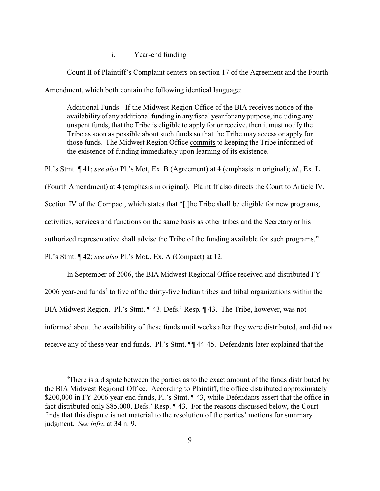# i. Year-end funding

Count II of Plaintiff's Complaint centers on section 17 of the Agreement and the Fourth Amendment, which both contain the following identical language:

Additional Funds - If the Midwest Region Office of the BIA receives notice of the availability of any additional funding in any fiscal year for any purpose, including any unspent funds, that the Tribe is eligible to apply for or receive, then it must notify the Tribe as soon as possible about such funds so that the Tribe may access or apply for those funds. The Midwest Region Office commits to keeping the Tribe informed of the existence of funding immediately upon learning of its existence.

Pl.'s Stmt. ¶ 41; *see also* Pl.'s Mot, Ex. B (Agreement) at 4 (emphasis in original); *id.*, Ex. L

(Fourth Amendment) at 4 (emphasis in original). Plaintiff also directs the Court to Article IV,

Section IV of the Compact, which states that "[t]he Tribe shall be eligible for new programs,

activities, services and functions on the same basis as other tribes and the Secretary or his

authorized representative shall advise the Tribe of the funding available for such programs."

Pl.'s Stmt. ¶ 42; *see also* Pl.'s Mot., Ex. A (Compact) at 12.

In September of 2006, the BIA Midwest Regional Office received and distributed FY  $2006$  year-end funds<sup>4</sup> to five of the thirty-five Indian tribes and tribal organizations within the BIA Midwest Region. Pl.'s Stmt. ¶ 43; Defs.' Resp. ¶ 43. The Tribe, however, was not informed about the availability of these funds until weeks after they were distributed, and did not receive any of these year-end funds. Pl.'s Stmt. ¶¶ 44-45. Defendants later explained that the

There is a dispute between the parties as to the exact amount of the funds distributed by <sup>4</sup> the BIA Midwest Regional Office. According to Plaintiff, the office distributed approximately \$200,000 in FY 2006 year-end funds, Pl.'s Stmt. ¶ 43, while Defendants assert that the office in fact distributed only \$85,000, Defs.' Resp. ¶ 43. For the reasons discussed below, the Court finds that this dispute is not material to the resolution of the parties' motions for summary judgment. *See infra* at 34 n. 9.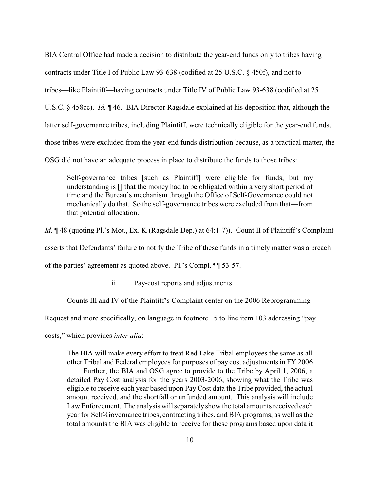BIA Central Office had made a decision to distribute the year-end funds only to tribes having contracts under Title I of Public Law 93-638 (codified at 25 U.S.C. § 450f), and not to tribes—like Plaintiff—having contracts under Title IV of Public Law 93-638 (codified at 25 U.S.C. § 458cc). *Id.* ¶ 46. BIA Director Ragsdale explained at his deposition that, although the latter self-governance tribes, including Plaintiff, were technically eligible for the year-end funds, those tribes were excluded from the year-end funds distribution because, as a practical matter, the OSG did not have an adequate process in place to distribute the funds to those tribes:

Self-governance tribes [such as Plaintiff] were eligible for funds, but my understanding is [] that the money had to be obligated within a very short period of time and the Bureau's mechanism through the Office of Self-Governance could not mechanically do that. So the self-governance tribes were excluded from that—from that potential allocation.

*Id.*  $\parallel$  48 (quoting Pl.'s Mot., Ex. K (Ragsdale Dep.) at 64:1-7)). Count II of Plaintiff's Complaint

asserts that Defendants' failure to notify the Tribe of these funds in a timely matter was a breach

of the parties' agreement as quoted above. Pl.'s Compl. ¶¶ 53-57.

ii. Pay-cost reports and adjustments

Counts III and IV of the Plaintiff's Complaint center on the 2006 Reprogramming

Request and more specifically, on language in footnote 15 to line item 103 addressing "pay

costs," which provides *inter alia*:

The BIA will make every effort to treat Red Lake Tribal employees the same as all other Tribal and Federal employees for purposes of pay cost adjustments in FY 2006 . . . . Further, the BIA and OSG agree to provide to the Tribe by April 1, 2006, a detailed Pay Cost analysis for the years 2003-2006, showing what the Tribe was eligible to receive each year based upon Pay Cost data the Tribe provided, the actual amount received, and the shortfall or unfunded amount. This analysis will include Law Enforcement. The analysis will separately show the total amounts received each year for Self-Governance tribes, contracting tribes, and BIA programs, as well as the total amounts the BIA was eligible to receive for these programs based upon data it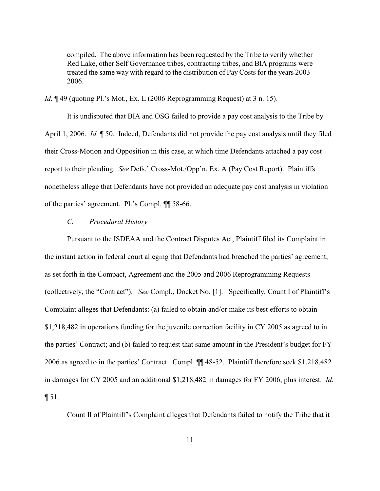compiled. The above information has been requested by the Tribe to verify whether Red Lake, other Self Governance tribes, contracting tribes, and BIA programs were treated the same way with regard to the distribution of Pay Costs for the years 2003- 2006.

*Id.* ¶ 49 (quoting Pl.'s Mot., Ex. L (2006 Reprogramming Request) at 3 n. 15).

It is undisputed that BIA and OSG failed to provide a pay cost analysis to the Tribe by April 1, 2006. *Id.* ¶ 50. Indeed, Defendants did not provide the pay cost analysis until they filed their Cross-Motion and Opposition in this case, at which time Defendants attached a pay cost report to their pleading. *See* Defs.' Cross-Mot./Opp'n, Ex. A (Pay Cost Report). Plaintiffs nonetheless allege that Defendants have not provided an adequate pay cost analysis in violation of the parties' agreement. Pl.'s Compl. ¶¶ 58-66.

### *C. Procedural History*

Pursuant to the ISDEAA and the Contract Disputes Act, Plaintiff filed its Complaint in the instant action in federal court alleging that Defendants had breached the parties' agreement, as set forth in the Compact, Agreement and the 2005 and 2006 Reprogramming Requests (collectively, the "Contract"). *See* Compl., Docket No. [1]. Specifically, Count I of Plaintiff's Complaint alleges that Defendants: (a) failed to obtain and/or make its best efforts to obtain \$1,218,482 in operations funding for the juvenile correction facility in CY 2005 as agreed to in the parties' Contract; and (b) failed to request that same amount in the President's budget for FY 2006 as agreed to in the parties' Contract. Compl. ¶¶ 48-52. Plaintiff therefore seek \$1,218,482 in damages for CY 2005 and an additional \$1,218,482 in damages for FY 2006, plus interest. *Id.* ¶ 51.

Count II of Plaintiff's Complaint alleges that Defendants failed to notify the Tribe that it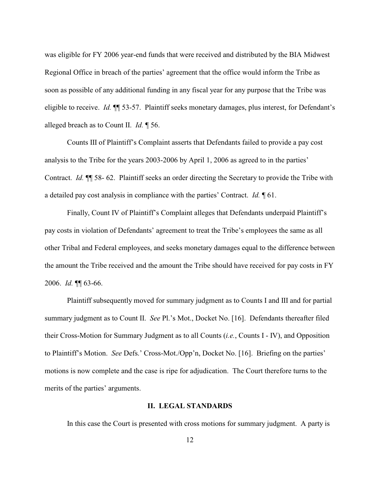was eligible for FY 2006 year-end funds that were received and distributed by the BIA Midwest Regional Office in breach of the parties' agreement that the office would inform the Tribe as soon as possible of any additional funding in any fiscal year for any purpose that the Tribe was eligible to receive. *Id.* ¶¶ 53-57. Plaintiff seeks monetary damages, plus interest, for Defendant's alleged breach as to Count II. *Id.* ¶ 56.

Counts III of Plaintiff's Complaint asserts that Defendants failed to provide a pay cost analysis to the Tribe for the years 2003-2006 by April 1, 2006 as agreed to in the parties' Contract. *Id.* ¶¶ 58- 62. Plaintiff seeks an order directing the Secretary to provide the Tribe with a detailed pay cost analysis in compliance with the parties' Contract. *Id.* ¶ 61.

Finally, Count IV of Plaintiff's Complaint alleges that Defendants underpaid Plaintiff's pay costs in violation of Defendants' agreement to treat the Tribe's employees the same as all other Tribal and Federal employees, and seeks monetary damages equal to the difference between the amount the Tribe received and the amount the Tribe should have received for pay costs in FY 2006. *Id.* ¶¶ 63-66.

Plaintiff subsequently moved for summary judgment as to Counts I and III and for partial summary judgment as to Count II. *See* Pl.'s Mot., Docket No. [16]. Defendants thereafter filed their Cross-Motion for Summary Judgment as to all Counts (*i.e.*, Counts I - IV), and Opposition to Plaintiff's Motion. *See* Defs.' Cross-Mot./Opp'n, Docket No. [16]. Briefing on the parties' motions is now complete and the case is ripe for adjudication. The Court therefore turns to the merits of the parties' arguments.

#### **II. LEGAL STANDARDS**

In this case the Court is presented with cross motions for summary judgment. A party is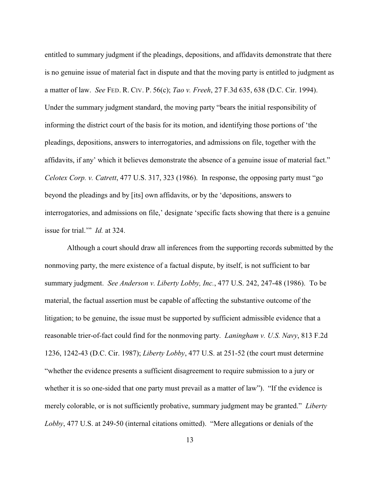entitled to summary judgment if the pleadings, depositions, and affidavits demonstrate that there is no genuine issue of material fact in dispute and that the moving party is entitled to judgment as a matter of law. *See* FED. R. CIV. P. 56(c); *Tao v. Freeh*, 27 F.3d 635, 638 (D.C. Cir. 1994). Under the summary judgment standard, the moving party "bears the initial responsibility of informing the district court of the basis for its motion, and identifying those portions of 'the pleadings, depositions, answers to interrogatories, and admissions on file, together with the affidavits, if any' which it believes demonstrate the absence of a genuine issue of material fact." *Celotex Corp. v. Catrett*, 477 U.S. 317, 323 (1986). In response, the opposing party must "go beyond the pleadings and by [its] own affidavits, or by the 'depositions, answers to interrogatories, and admissions on file,' designate 'specific facts showing that there is a genuine issue for trial.'" *Id.* at 324.

Although a court should draw all inferences from the supporting records submitted by the nonmoving party, the mere existence of a factual dispute, by itself, is not sufficient to bar summary judgment. *See Anderson v. Liberty Lobby, Inc.*, 477 U.S. 242, 247-48 (1986). To be material, the factual assertion must be capable of affecting the substantive outcome of the litigation; to be genuine, the issue must be supported by sufficient admissible evidence that a reasonable trier-of-fact could find for the nonmoving party. *Laningham v. U.S. Navy*, 813 F.2d 1236, 1242-43 (D.C. Cir. 1987); *Liberty Lobby*, 477 U.S. at 251-52 (the court must determine "whether the evidence presents a sufficient disagreement to require submission to a jury or whether it is so one-sided that one party must prevail as a matter of law"). "If the evidence is merely colorable, or is not sufficiently probative, summary judgment may be granted." *Liberty Lobby*, 477 U.S. at 249-50 (internal citations omitted). "Mere allegations or denials of the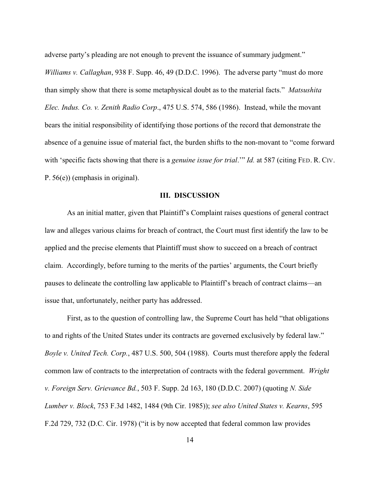adverse party's pleading are not enough to prevent the issuance of summary judgment."

*Williams v. Callaghan*, 938 F. Supp. 46, 49 (D.D.C. 1996). The adverse party "must do more than simply show that there is some metaphysical doubt as to the material facts." *Matsushita Elec. Indus. Co. v. Zenith Radio Corp*., 475 U.S. 574, 586 (1986). Instead, while the movant bears the initial responsibility of identifying those portions of the record that demonstrate the absence of a genuine issue of material fact, the burden shifts to the non-movant to "come forward with 'specific facts showing that there is a *genuine issue for trial.*" *Id.* at 587 (citing FED. R. CIV. P. 56(e)) (emphasis in original).

#### **III. DISCUSSION**

As an initial matter, given that Plaintiff's Complaint raises questions of general contract law and alleges various claims for breach of contract, the Court must first identify the law to be applied and the precise elements that Plaintiff must show to succeed on a breach of contract claim. Accordingly, before turning to the merits of the parties' arguments, the Court briefly pauses to delineate the controlling law applicable to Plaintiff's breach of contract claims—an issue that, unfortunately, neither party has addressed.

First, as to the question of controlling law, the Supreme Court has held "that obligations to and rights of the United States under its contracts are governed exclusively by federal law." *Boyle v. United Tech. Corp.*, 487 U.S. 500, 504 (1988). Courts must therefore apply the federal common law of contracts to the interpretation of contracts with the federal government. *Wright v. Foreign Serv. Grievance Bd.*, 503 F. Supp. 2d 163, 180 (D.D.C. 2007) (quoting *N. Side Lumber v. Block*, 753 F.3d 1482, 1484 (9th Cir. 1985)); *see also United States v. Kearns*, 595 F.2d 729, 732 (D.C. Cir. 1978) ("it is by now accepted that federal common law provides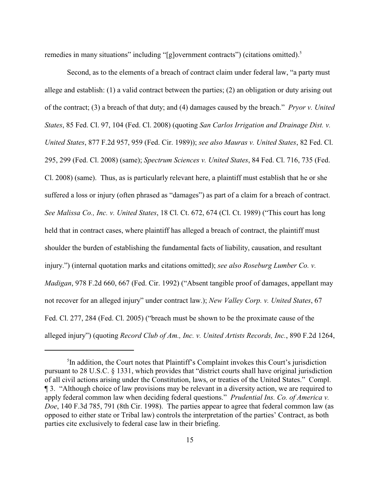remedies in many situations" including "[g]overnment contracts") (citations omitted).<sup>5</sup>

Second, as to the elements of a breach of contract claim under federal law, "a party must allege and establish: (1) a valid contract between the parties; (2) an obligation or duty arising out of the contract; (3) a breach of that duty; and (4) damages caused by the breach." *Pryor v. United States*, 85 Fed. Cl. 97, 104 (Fed. Cl. 2008) (quoting *San Carlos Irrigation and Drainage Dist. v. United States*, 877 F.2d 957, 959 (Fed. Cir. 1989)); *see also Mauras v. United States*, 82 Fed. Cl. 295, 299 (Fed. Cl. 2008) (same); *Spectrum Sciences v. United States*, 84 Fed. Cl. 716, 735 (Fed. Cl. 2008) (same). Thus, as is particularly relevant here, a plaintiff must establish that he or she suffered a loss or injury (often phrased as "damages") as part of a claim for a breach of contract. *See Malissa Co., Inc. v. United States*, 18 Cl. Ct. 672, 674 (Cl. Ct. 1989) ("This court has long held that in contract cases, where plaintiff has alleged a breach of contract, the plaintiff must shoulder the burden of establishing the fundamental facts of liability, causation, and resultant injury.") (internal quotation marks and citations omitted); *see also Roseburg Lumber Co. v. Madigan*, 978 F.2d 660, 667 (Fed. Cir. 1992) ("Absent tangible proof of damages, appellant may not recover for an alleged injury" under contract law.); *New Valley Corp. v. United States*, 67 Fed. Cl. 277, 284 (Fed. Cl. 2005) ("breach must be shown to be the proximate cause of the alleged injury") (quoting *Record Club of Am., Inc. v. United Artists Records, Inc.*, 890 F.2d 1264,

 ${}^5$ In addition, the Court notes that Plaintiff's Complaint invokes this Court's jurisdiction pursuant to 28 U.S.C. § 1331, which provides that "district courts shall have original jurisdiction of all civil actions arising under the Constitution, laws, or treaties of the United States." Compl. ¶ 3. "Although choice of law provisions may be relevant in a diversity action, we are required to apply federal common law when deciding federal questions." *Prudential Ins. Co. of America v. Doe*, 140 F.3d 785, 791 (8th Cir. 1998). The parties appear to agree that federal common law (as opposed to either state or Tribal law) controls the interpretation of the parties' Contract, as both parties cite exclusively to federal case law in their briefing.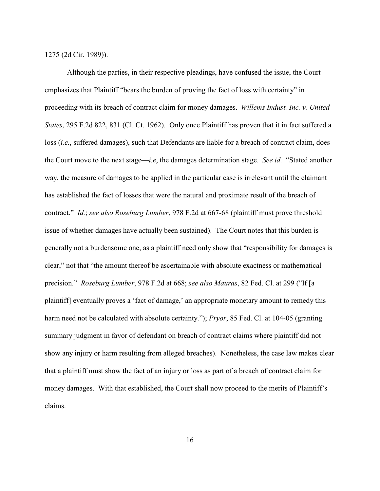1275 (2d Cir. 1989)).

Although the parties, in their respective pleadings, have confused the issue, the Court emphasizes that Plaintiff "bears the burden of proving the fact of loss with certainty" in proceeding with its breach of contract claim for money damages. *Willems Indust. Inc. v. United States*, 295 F.2d 822, 831 (Cl. Ct. 1962). Only once Plaintiff has proven that it in fact suffered a loss (*i.e.*, suffered damages), such that Defendants are liable for a breach of contract claim, does the Court move to the next stage—*i.e*, the damages determination stage. *See id.* "Stated another way, the measure of damages to be applied in the particular case is irrelevant until the claimant has established the fact of losses that were the natural and proximate result of the breach of contract." *Id.*; *see also Roseburg Lumber*, 978 F.2d at 667-68 (plaintiff must prove threshold issue of whether damages have actually been sustained). The Court notes that this burden is generally not a burdensome one, as a plaintiff need only show that "responsibility for damages is clear," not that "the amount thereof be ascertainable with absolute exactness or mathematical precision." *Roseburg Lumber*, 978 F.2d at 668; *see also Mauras*, 82 Fed. Cl. at 299 ("If [a plaintiff] eventually proves a 'fact of damage,' an appropriate monetary amount to remedy this harm need not be calculated with absolute certainty."); *Pryor*, 85 Fed. Cl. at 104-05 (granting summary judgment in favor of defendant on breach of contract claims where plaintiff did not show any injury or harm resulting from alleged breaches). Nonetheless, the case law makes clear that a plaintiff must show the fact of an injury or loss as part of a breach of contract claim for money damages. With that established, the Court shall now proceed to the merits of Plaintiff's claims.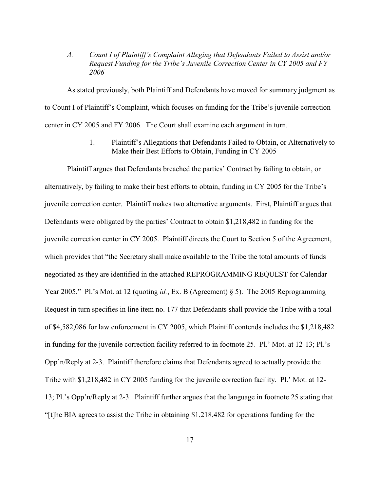*A. Count I of Plaintiff's Complaint Alleging that Defendants Failed to Assist and/or Request Funding for the Tribe's Juvenile Correction Center in CY 2005 and FY 2006*

As stated previously, both Plaintiff and Defendants have moved for summary judgment as to Count I of Plaintiff's Complaint, which focuses on funding for the Tribe's juvenile correction center in CY 2005 and FY 2006. The Court shall examine each argument in turn.

> 1. Plaintiff's Allegations that Defendants Failed to Obtain, or Alternatively to Make their Best Efforts to Obtain, Funding in CY 2005

Plaintiff argues that Defendants breached the parties' Contract by failing to obtain, or alternatively, by failing to make their best efforts to obtain, funding in CY 2005 for the Tribe's juvenile correction center. Plaintiff makes two alternative arguments. First, Plaintiff argues that Defendants were obligated by the parties' Contract to obtain \$1,218,482 in funding for the juvenile correction center in CY 2005. Plaintiff directs the Court to Section 5 of the Agreement, which provides that "the Secretary shall make available to the Tribe the total amounts of funds negotiated as they are identified in the attached REPROGRAMMING REQUEST for Calendar Year 2005." Pl.'s Mot. at 12 (quoting *id.*, Ex. B (Agreement) § 5). The 2005 Reprogramming Request in turn specifies in line item no. 177 that Defendants shall provide the Tribe with a total of \$4,582,086 for law enforcement in CY 2005, which Plaintiff contends includes the \$1,218,482 in funding for the juvenile correction facility referred to in footnote 25. Pl.' Mot. at 12-13; Pl.'s Opp'n/Reply at 2-3. Plaintiff therefore claims that Defendants agreed to actually provide the Tribe with \$1,218,482 in CY 2005 funding for the juvenile correction facility. Pl.' Mot. at 12- 13; Pl.'s Opp'n/Reply at 2-3. Plaintiff further argues that the language in footnote 25 stating that "[t]he BIA agrees to assist the Tribe in obtaining \$1,218,482 for operations funding for the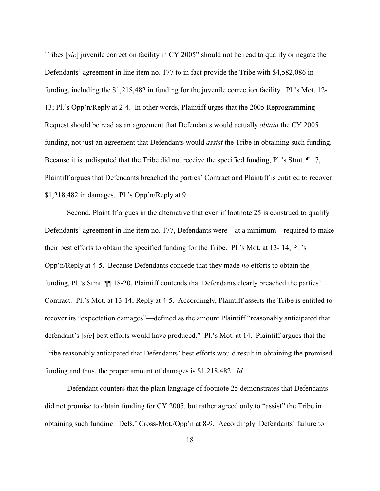Tribes [*sic*] juvenile correction facility in CY 2005" should not be read to qualify or negate the Defendants' agreement in line item no. 177 to in fact provide the Tribe with \$4,582,086 in funding, including the \$1,218,482 in funding for the juvenile correction facility. Pl.'s Mot. 12- 13; Pl.'s Opp'n/Reply at 2-4. In other words, Plaintiff urges that the 2005 Reprogramming Request should be read as an agreement that Defendants would actually *obtain* the CY 2005 funding, not just an agreement that Defendants would *assist* the Tribe in obtaining such funding. Because it is undisputed that the Tribe did not receive the specified funding, Pl.'s Stmt. ¶ 17, Plaintiff argues that Defendants breached the parties' Contract and Plaintiff is entitled to recover \$1,218,482 in damages. Pl.'s Opp'n/Reply at 9.

Second, Plaintiff argues in the alternative that even if footnote 25 is construed to qualify Defendants' agreement in line item no. 177, Defendants were—at a minimum—required to make their best efforts to obtain the specified funding for the Tribe. Pl.'s Mot. at 13- 14; Pl.'s Opp'n/Reply at 4-5. Because Defendants concede that they made *no* efforts to obtain the funding, Pl.'s Stmt. ¶¶ 18-20, Plaintiff contends that Defendants clearly breached the parties' Contract. Pl.'s Mot. at 13-14; Reply at 4-5. Accordingly, Plaintiff asserts the Tribe is entitled to recover its "expectation damages"—defined as the amount Plaintiff "reasonably anticipated that defendant's [*sic*] best efforts would have produced." Pl.'s Mot. at 14. Plaintiff argues that the Tribe reasonably anticipated that Defendants' best efforts would result in obtaining the promised funding and thus, the proper amount of damages is \$1,218,482. *Id.*

Defendant counters that the plain language of footnote 25 demonstrates that Defendants did not promise to obtain funding for CY 2005, but rather agreed only to "assist" the Tribe in obtaining such funding. Defs.' Cross-Mot./Opp'n at 8-9. Accordingly, Defendants' failure to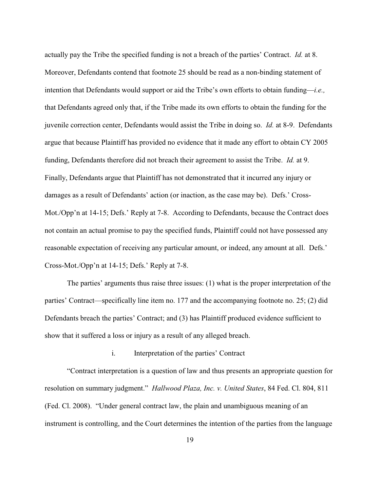actually pay the Tribe the specified funding is not a breach of the parties' Contract. *Id.* at 8. Moreover, Defendants contend that footnote 25 should be read as a non-binding statement of intention that Defendants would support or aid the Tribe's own efforts to obtain funding—*i.e.,* that Defendants agreed only that, if the Tribe made its own efforts to obtain the funding for the juvenile correction center, Defendants would assist the Tribe in doing so. *Id.* at 8-9. Defendants argue that because Plaintiff has provided no evidence that it made any effort to obtain CY 2005 funding, Defendants therefore did not breach their agreement to assist the Tribe. *Id.* at 9. Finally, Defendants argue that Plaintiff has not demonstrated that it incurred any injury or damages as a result of Defendants' action (or inaction, as the case may be). Defs.' Cross-Mot./Opp'n at 14-15; Defs.' Reply at 7-8. According to Defendants, because the Contract does not contain an actual promise to pay the specified funds, Plaintiff could not have possessed any reasonable expectation of receiving any particular amount, or indeed, any amount at all. Defs.' Cross-Mot./Opp'n at 14-15; Defs.' Reply at 7-8.

The parties' arguments thus raise three issues: (1) what is the proper interpretation of the parties' Contract—specifically line item no. 177 and the accompanying footnote no. 25; (2) did Defendants breach the parties' Contract; and (3) has Plaintiff produced evidence sufficient to show that it suffered a loss or injury as a result of any alleged breach.

#### i. Interpretation of the parties' Contract

"Contract interpretation is a question of law and thus presents an appropriate question for resolution on summary judgment." *Hallwood Plaza, Inc. v. United States*, 84 Fed. Cl. 804, 811 (Fed. Cl. 2008). "Under general contract law, the plain and unambiguous meaning of an instrument is controlling, and the Court determines the intention of the parties from the language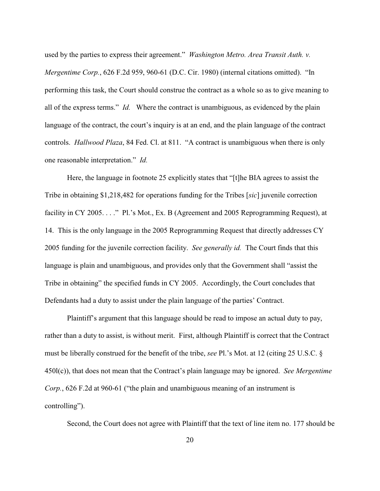used by the parties to express their agreement." *Washington Metro. Area Transit Auth. v. Mergentime Corp.*, 626 F.2d 959, 960-61 (D.C. Cir. 1980) (internal citations omitted). "In performing this task, the Court should construe the contract as a whole so as to give meaning to all of the express terms." *Id.* Where the contract is unambiguous, as evidenced by the plain language of the contract, the court's inquiry is at an end, and the plain language of the contract controls. *Hallwood Plaza*, 84 Fed. Cl. at 811. "A contract is unambiguous when there is only one reasonable interpretation." *Id.*

Here, the language in footnote 25 explicitly states that "[t]he BIA agrees to assist the Tribe in obtaining \$1,218,482 for operations funding for the Tribes [*sic*] juvenile correction facility in CY 2005. . . . " Pl.'s Mot., Ex. B (Agreement and 2005 Reprogramming Request), at 14. This is the only language in the 2005 Reprogramming Request that directly addresses CY 2005 funding for the juvenile correction facility. *See generally id.* The Court finds that this language is plain and unambiguous, and provides only that the Government shall "assist the Tribe in obtaining" the specified funds in CY 2005. Accordingly, the Court concludes that Defendants had a duty to assist under the plain language of the parties' Contract.

Plaintiff's argument that this language should be read to impose an actual duty to pay, rather than a duty to assist, is without merit. First, although Plaintiff is correct that the Contract must be liberally construed for the benefit of the tribe, *see* Pl.'s Mot. at 12 (citing 25 U.S.C. § 450l(c)), that does not mean that the Contract's plain language may be ignored. *See Mergentime Corp.*, 626 F.2d at 960-61 ("the plain and unambiguous meaning of an instrument is controlling").

Second, the Court does not agree with Plaintiff that the text of line item no. 177 should be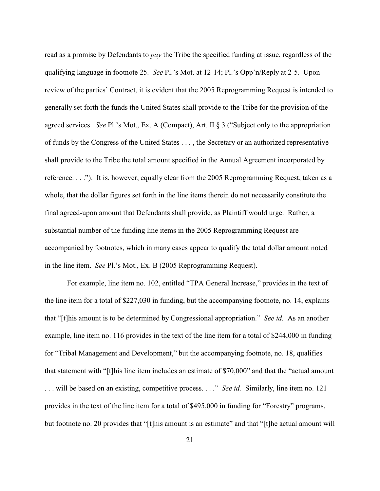read as a promise by Defendants to *pay* the Tribe the specified funding at issue, regardless of the qualifying language in footnote 25. *See* Pl.'s Mot. at 12-14; Pl.'s Opp'n/Reply at 2-5. Upon review of the parties' Contract, it is evident that the 2005 Reprogramming Request is intended to generally set forth the funds the United States shall provide to the Tribe for the provision of the agreed services. *See* Pl.'s Mot., Ex. A (Compact), Art. II § 3 ("Subject only to the appropriation of funds by the Congress of the United States . . . , the Secretary or an authorized representative shall provide to the Tribe the total amount specified in the Annual Agreement incorporated by reference. . . ."). It is, however, equally clear from the 2005 Reprogramming Request, taken as a whole, that the dollar figures set forth in the line items therein do not necessarily constitute the final agreed-upon amount that Defendants shall provide, as Plaintiff would urge. Rather, a substantial number of the funding line items in the 2005 Reprogramming Request are accompanied by footnotes, which in many cases appear to qualify the total dollar amount noted in the line item. *See* Pl.'s Mot., Ex. B (2005 Reprogramming Request).

For example, line item no. 102, entitled "TPA General Increase," provides in the text of the line item for a total of \$227,030 in funding, but the accompanying footnote, no. 14, explains that "[t]his amount is to be determined by Congressional appropriation." *See id.* As an another example, line item no. 116 provides in the text of the line item for a total of \$244,000 in funding for "Tribal Management and Development," but the accompanying footnote, no. 18, qualifies that statement with "[t]his line item includes an estimate of \$70,000" and that the "actual amount . . . will be based on an existing, competitive process. . . ." *See id.* Similarly, line item no. 121 provides in the text of the line item for a total of \$495,000 in funding for "Forestry" programs, but footnote no. 20 provides that "[t]his amount is an estimate" and that "[t]he actual amount will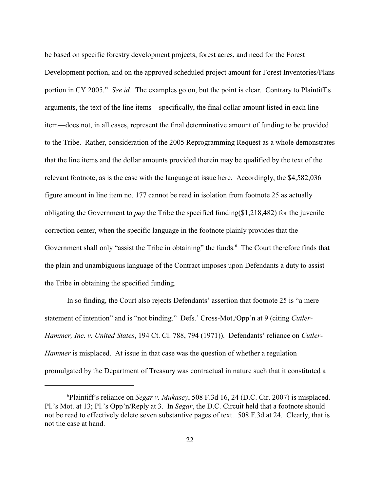be based on specific forestry development projects, forest acres, and need for the Forest Development portion, and on the approved scheduled project amount for Forest Inventories/Plans portion in CY 2005." *See id.* The examples go on, but the point is clear. Contrary to Plaintiff's arguments, the text of the line items—specifically, the final dollar amount listed in each line item—does not, in all cases, represent the final determinative amount of funding to be provided to the Tribe. Rather, consideration of the 2005 Reprogramming Request as a whole demonstrates that the line items and the dollar amounts provided therein may be qualified by the text of the relevant footnote, as is the case with the language at issue here. Accordingly, the \$4,582,036 figure amount in line item no. 177 cannot be read in isolation from footnote 25 as actually obligating the Government to *pay* the Tribe the specified funding(\$1,218,482) for the juvenile correction center, when the specific language in the footnote plainly provides that the Government shall only "assist the Tribe in obtaining" the funds.<sup>6</sup> The Court therefore finds that the plain and unambiguous language of the Contract imposes upon Defendants a duty to assist the Tribe in obtaining the specified funding.

In so finding, the Court also rejects Defendants' assertion that footnote 25 is "a mere statement of intention" and is "not binding." Defs.' Cross-Mot./Opp'n at 9 (citing *Cutler-Hammer, Inc. v. United States*, 194 Ct. Cl. 788, 794 (1971)). Defendants' reliance on *Cutler-Hammer* is misplaced. At issue in that case was the question of whether a regulation promulgated by the Department of Treasury was contractual in nature such that it constituted a

Plaintiff's reliance on *Segar v. Mukasey*, 508 F.3d 16, 24 (D.C. Cir. 2007) is misplaced. <sup>6</sup> Pl.'s Mot. at 13; Pl.'s Opp'n/Reply at 3. In *Segar*, the D.C. Circuit held that a footnote should not be read to effectively delete seven substantive pages of text. 508 F.3d at 24. Clearly, that is not the case at hand.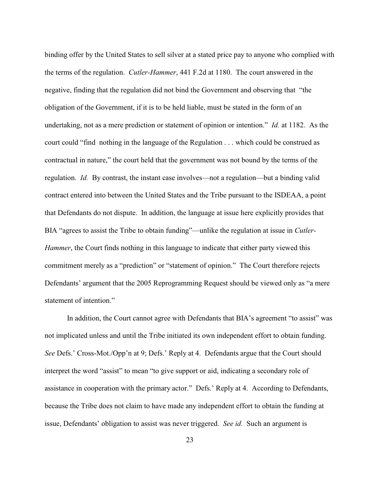binding offer by the United States to sell silver at a stated price pay to anyone who complied with the terms of the regulation. *Cutler-Hammer*, 441 F.2d at 1180. The court answered in the negative, finding that the regulation did not bind the Government and observing that "the obligation of the Government, if it is to be held liable, must be stated in the form of an undertaking, not as a mere prediction or statement of opinion or intention." *Id.* at 1182. As the court could "find nothing in the language of the Regulation . . . which could be construed as contractual in nature," the court held that the government was not bound by the terms of the regulation. *Id.* By contrast, the instant case involves—not a regulation—but a binding valid contract entered into between the United States and the Tribe pursuant to the ISDEAA, a point that Defendants do not dispute. In addition, the language at issue here explicitly provides that BIA "agrees to assist the Tribe to obtain funding"—unlike the regulation at issue in *Cutler-Hammer*, the Court finds nothing in this language to indicate that either party viewed this commitment merely as a "prediction" or "statement of opinion." The Court therefore rejects Defendants' argument that the 2005 Reprogramming Request should be viewed only as "a mere statement of intention."

In addition, the Court cannot agree with Defendants that BIA's agreement "to assist" was not implicated unless and until the Tribe initiated its own independent effort to obtain funding. *See* Defs.' Cross-Mot./Opp'n at 9; Defs.' Reply at 4. Defendants argue that the Court should interpret the word "assist" to mean "to give support or aid, indicating a secondary role of assistance in cooperation with the primary actor." Defs.' Reply at 4. According to Defendants, because the Tribe does not claim to have made any independent effort to obtain the funding at issue, Defendants' obligation to assist was never triggered. *See id.* Such an argument is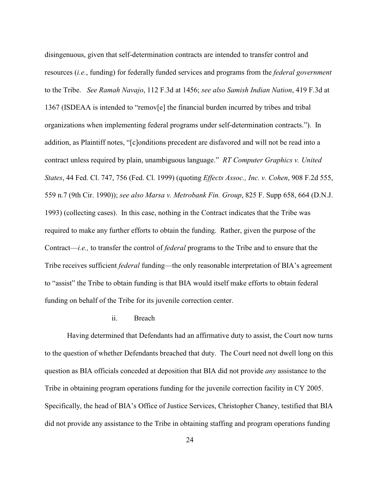disingenuous, given that self-determination contracts are intended to transfer control and resources (*i.e.*, funding) for federally funded services and programs from the *federal government* to the Tribe. *See Ramah Navajo*, 112 F.3d at 1456; *see also Samish Indian Nation*, 419 F.3d at 1367 (ISDEAA is intended to "remov[e] the financial burden incurred by tribes and tribal organizations when implementing federal programs under self-determination contracts."). In addition, as Plaintiff notes, "[c]onditions precedent are disfavored and will not be read into a contract unless required by plain, unambiguous language." *RT Computer Graphics v. United States*, 44 Fed. Cl. 747, 756 (Fed. Cl. 1999) (quoting *Effects Assoc., Inc. v. Cohen*, 908 F.2d 555, 559 n.7 (9th Cir. 1990)); *see also Marsa v. Metrobank Fin. Group*, 825 F. Supp 658, 664 (D.N.J. 1993) (collecting cases). In this case, nothing in the Contract indicates that the Tribe was required to make any further efforts to obtain the funding. Rather, given the purpose of the Contract—*i.e.,* to transfer the control of *federal* programs to the Tribe and to ensure that the Tribe receives sufficient *federal* funding—the only reasonable interpretation of BIA's agreement to "assist" the Tribe to obtain funding is that BIA would itself make efforts to obtain federal funding on behalf of the Tribe for its juvenile correction center.

## ii. Breach

Having determined that Defendants had an affirmative duty to assist, the Court now turns to the question of whether Defendants breached that duty. The Court need not dwell long on this question as BIA officials conceded at deposition that BIA did not provide *any* assistance to the Tribe in obtaining program operations funding for the juvenile correction facility in CY 2005. Specifically, the head of BIA's Office of Justice Services, Christopher Chaney, testified that BIA did not provide any assistance to the Tribe in obtaining staffing and program operations funding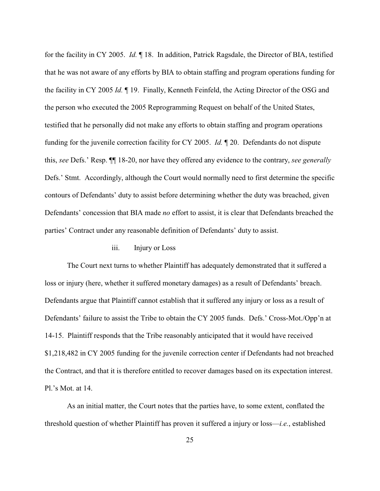for the facility in CY 2005. *Id.* ¶ 18. In addition, Patrick Ragsdale, the Director of BIA, testified that he was not aware of any efforts by BIA to obtain staffing and program operations funding for the facility in CY 2005 *Id.* ¶ 19. Finally, Kenneth Feinfeld, the Acting Director of the OSG and the person who executed the 2005 Reprogramming Request on behalf of the United States, testified that he personally did not make any efforts to obtain staffing and program operations funding for the juvenile correction facility for CY 2005. *Id.* ¶ 20. Defendants do not dispute this, *see* Defs.' Resp. ¶¶ 18-20, nor have they offered any evidence to the contrary, *see generally* Defs.' Stmt. Accordingly, although the Court would normally need to first determine the specific contours of Defendants' duty to assist before determining whether the duty was breached, given Defendants' concession that BIA made *no* effort to assist, it is clear that Defendants breached the parties' Contract under any reasonable definition of Defendants' duty to assist.

### iii. Injury or Loss

The Court next turns to whether Plaintiff has adequately demonstrated that it suffered a loss or injury (here, whether it suffered monetary damages) as a result of Defendants' breach. Defendants argue that Plaintiff cannot establish that it suffered any injury or loss as a result of Defendants' failure to assist the Tribe to obtain the CY 2005 funds. Defs.' Cross-Mot./Opp'n at 14-15. Plaintiff responds that the Tribe reasonably anticipated that it would have received \$1,218,482 in CY 2005 funding for the juvenile correction center if Defendants had not breached the Contract, and that it is therefore entitled to recover damages based on its expectation interest. Pl.'s Mot. at 14.

As an initial matter, the Court notes that the parties have, to some extent, conflated the threshold question of whether Plaintiff has proven it suffered a injury or loss—*i.e.*, established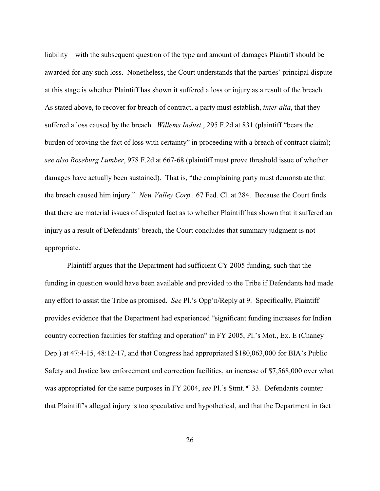liability—with the subsequent question of the type and amount of damages Plaintiff should be awarded for any such loss. Nonetheless, the Court understands that the parties' principal dispute at this stage is whether Plaintiff has shown it suffered a loss or injury as a result of the breach. As stated above, to recover for breach of contract, a party must establish, *inter alia*, that they suffered a loss caused by the breach. *Willems Indust.*, 295 F.2d at 831 (plaintiff "bears the burden of proving the fact of loss with certainty" in proceeding with a breach of contract claim); *see also Roseburg Lumber*, 978 F.2d at 667-68 (plaintiff must prove threshold issue of whether damages have actually been sustained). That is, "the complaining party must demonstrate that the breach caused him injury." *New Valley Corp.,* 67 Fed. Cl. at 284. Because the Court finds that there are material issues of disputed fact as to whether Plaintiff has shown that it suffered an injury as a result of Defendants' breach, the Court concludes that summary judgment is not appropriate.

Plaintiff argues that the Department had sufficient CY 2005 funding, such that the funding in question would have been available and provided to the Tribe if Defendants had made any effort to assist the Tribe as promised. *See* Pl.'s Opp'n/Reply at 9. Specifically, Plaintiff provides evidence that the Department had experienced "significant funding increases for Indian country correction facilities for staffing and operation" in FY 2005, Pl.'s Mot., Ex. E (Chaney Dep.) at 47:4-15, 48:12-17, and that Congress had appropriated \$180,063,000 for BIA's Public Safety and Justice law enforcement and correction facilities, an increase of \$7,568,000 over what was appropriated for the same purposes in FY 2004, *see* Pl.'s Stmt. ¶ 33. Defendants counter that Plaintiff's alleged injury is too speculative and hypothetical, and that the Department in fact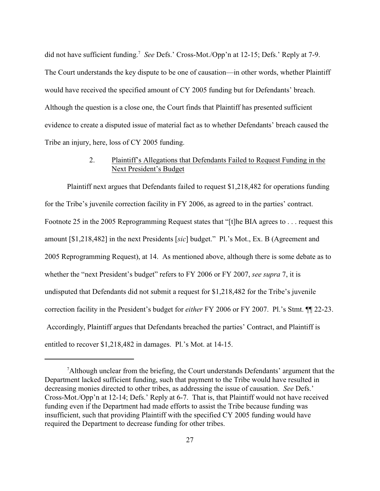did not have sufficient funding.<sup>7</sup> See Defs.' Cross-Mot./Opp'n at 12-15; Defs.' Reply at 7-9. The Court understands the key dispute to be one of causation—in other words, whether Plaintiff would have received the specified amount of CY 2005 funding but for Defendants' breach. Although the question is a close one, the Court finds that Plaintiff has presented sufficient evidence to create a disputed issue of material fact as to whether Defendants' breach caused the Tribe an injury, here, loss of CY 2005 funding.

# 2. Plaintiff's Allegations that Defendants Failed to Request Funding in the Next President's Budget

Plaintiff next argues that Defendants failed to request \$1,218,482 for operations funding for the Tribe's juvenile correction facility in FY 2006, as agreed to in the parties' contract. Footnote 25 in the 2005 Reprogramming Request states that "[t]he BIA agrees to . . . request this amount [\$1,218,482] in the next Presidents [*sic*] budget." Pl.'s Mot., Ex. B (Agreement and 2005 Reprogramming Request), at 14. As mentioned above, although there is some debate as to whether the "next President's budget" refers to FY 2006 or FY 2007, *see supra* 7, it is undisputed that Defendants did not submit a request for \$1,218,482 for the Tribe's juvenile correction facility in the President's budget for *either* FY 2006 or FY 2007. Pl.'s Stmt. ¶¶ 22-23. Accordingly, Plaintiff argues that Defendants breached the parties' Contract, and Plaintiff is entitled to recover \$1,218,482 in damages. Pl.'s Mot. at 14-15.

<sup>&</sup>lt;sup>7</sup>Although unclear from the briefing, the Court understands Defendants' argument that the Department lacked sufficient funding, such that payment to the Tribe would have resulted in decreasing monies directed to other tribes, as addressing the issue of causation. *See* Defs.' Cross-Mot./Opp'n at 12-14; Defs.' Reply at 6-7. That is, that Plaintiff would not have received funding even if the Department had made efforts to assist the Tribe because funding was insufficient, such that providing Plaintiff with the specified CY 2005 funding would have required the Department to decrease funding for other tribes.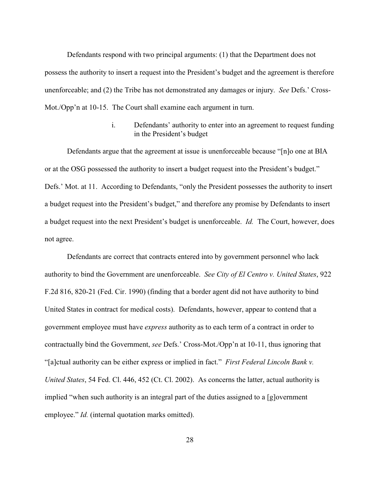Defendants respond with two principal arguments: (1) that the Department does not possess the authority to insert a request into the President's budget and the agreement is therefore unenforceable; and (2) the Tribe has not demonstrated any damages or injury. *See* Defs.' Cross-Mot./Opp'n at 10-15. The Court shall examine each argument in turn.

> i. Defendants' authority to enter into an agreement to request funding in the President's budget

Defendants argue that the agreement at issue is unenforceable because "[n]o one at BIA or at the OSG possessed the authority to insert a budget request into the President's budget." Defs.' Mot. at 11. According to Defendants, "only the President possesses the authority to insert a budget request into the President's budget," and therefore any promise by Defendants to insert a budget request into the next President's budget is unenforceable. *Id.* The Court, however, does not agree.

Defendants are correct that contracts entered into by government personnel who lack authority to bind the Government are unenforceable. *See City of El Centro v. United States*, 922 F.2d 816, 820-21 (Fed. Cir. 1990) (finding that a border agent did not have authority to bind United States in contract for medical costs). Defendants, however, appear to contend that a government employee must have *express* authority as to each term of a contract in order to contractually bind the Government, *see* Defs.' Cross-Mot./Opp'n at 10-11, thus ignoring that "[a]ctual authority can be either express or implied in fact." *First Federal Lincoln Bank v. United States*, 54 Fed. Cl. 446, 452 (Ct. Cl. 2002). As concerns the latter, actual authority is implied "when such authority is an integral part of the duties assigned to a [g]overnment employee." *Id.* (internal quotation marks omitted).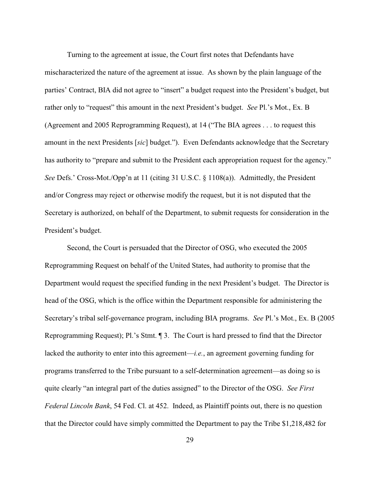Turning to the agreement at issue, the Court first notes that Defendants have mischaracterized the nature of the agreement at issue. As shown by the plain language of the parties' Contract, BIA did not agree to "insert" a budget request into the President's budget, but rather only to "request" this amount in the next President's budget. *See* Pl.'s Mot., Ex. B (Agreement and 2005 Reprogramming Request), at 14 ("The BIA agrees . . . to request this amount in the next Presidents [*sic*] budget."). Even Defendants acknowledge that the Secretary has authority to "prepare and submit to the President each appropriation request for the agency." *See* Defs.' Cross-Mot./Opp'n at 11 (citing 31 U.S.C. § 1108(a)). Admittedly, the President and/or Congress may reject or otherwise modify the request, but it is not disputed that the Secretary is authorized, on behalf of the Department, to submit requests for consideration in the President's budget.

Second, the Court is persuaded that the Director of OSG, who executed the 2005 Reprogramming Request on behalf of the United States, had authority to promise that the Department would request the specified funding in the next President's budget. The Director is head of the OSG, which is the office within the Department responsible for administering the Secretary's tribal self-governance program, including BIA programs. *See* Pl.'s Mot., Ex. B (2005 Reprogramming Request); Pl.'s Stmt. ¶ 3. The Court is hard pressed to find that the Director lacked the authority to enter into this agreement—*i.e.*, an agreement governing funding for programs transferred to the Tribe pursuant to a self-determination agreement—as doing so is quite clearly "an integral part of the duties assigned" to the Director of the OSG. *See First Federal Lincoln Bank*, 54 Fed. Cl. at 452. Indeed, as Plaintiff points out, there is no question that the Director could have simply committed the Department to pay the Tribe \$1,218,482 for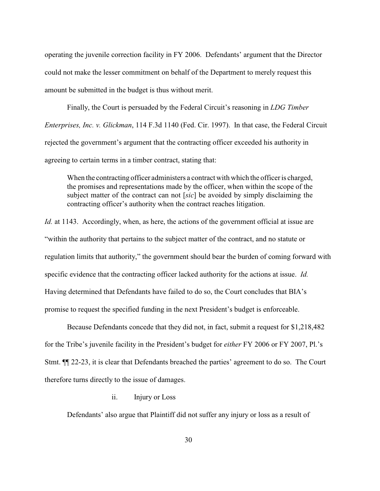operating the juvenile correction facility in FY 2006. Defendants' argument that the Director could not make the lesser commitment on behalf of the Department to merely request this amount be submitted in the budget is thus without merit.

Finally, the Court is persuaded by the Federal Circuit's reasoning in *LDG Timber Enterprises, Inc. v. Glickman*, 114 F.3d 1140 (Fed. Cir. 1997). In that case, the Federal Circuit rejected the government's argument that the contracting officer exceeded his authority in agreeing to certain terms in a timber contract, stating that:

When the contracting officer administers a contract with which the officer is charged, the promises and representations made by the officer, when within the scope of the subject matter of the contract can not [*sic*] be avoided by simply disclaiming the contracting officer's authority when the contract reaches litigation.

*Id.* at 1143. Accordingly, when, as here, the actions of the government official at issue are "within the authority that pertains to the subject matter of the contract, and no statute or regulation limits that authority," the government should bear the burden of coming forward with specific evidence that the contracting officer lacked authority for the actions at issue. *Id.* Having determined that Defendants have failed to do so, the Court concludes that BIA's promise to request the specified funding in the next President's budget is enforceable.

Because Defendants concede that they did not, in fact, submit a request for \$1,218,482 for the Tribe's juvenile facility in the President's budget for *either* FY 2006 or FY 2007, Pl.'s Stmt. ¶¶ 22-23, it is clear that Defendants breached the parties' agreement to do so. The Court therefore turns directly to the issue of damages.

## ii. Injury or Loss

Defendants' also argue that Plaintiff did not suffer any injury or loss as a result of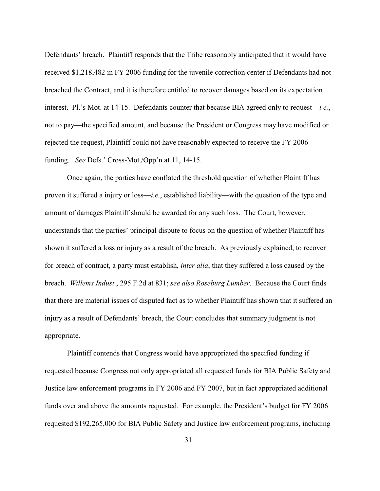Defendants' breach. Plaintiff responds that the Tribe reasonably anticipated that it would have received \$1,218,482 in FY 2006 funding for the juvenile correction center if Defendants had not breached the Contract, and it is therefore entitled to recover damages based on its expectation interest. Pl.'s Mot. at 14-15. Defendants counter that because BIA agreed only to request—*i.e.*, not to pay—the specified amount, and because the President or Congress may have modified or rejected the request, Plaintiff could not have reasonably expected to receive the FY 2006 funding. *See* Defs.' Cross-Mot./Opp'n at 11, 14-15.

Once again, the parties have conflated the threshold question of whether Plaintiff has proven it suffered a injury or loss—*i.e.*, established liability—with the question of the type and amount of damages Plaintiff should be awarded for any such loss. The Court, however, understands that the parties' principal dispute to focus on the question of whether Plaintiff has shown it suffered a loss or injury as a result of the breach. As previously explained, to recover for breach of contract, a party must establish, *inter alia*, that they suffered a loss caused by the breach. *Willems Indust.*, 295 F.2d at 831; *see also Roseburg Lumber*. Because the Court finds that there are material issues of disputed fact as to whether Plaintiff has shown that it suffered an injury as a result of Defendants' breach, the Court concludes that summary judgment is not appropriate.

Plaintiff contends that Congress would have appropriated the specified funding if requested because Congress not only appropriated all requested funds for BIA Public Safety and Justice law enforcement programs in FY 2006 and FY 2007, but in fact appropriated additional funds over and above the amounts requested. For example, the President's budget for FY 2006 requested \$192,265,000 for BIA Public Safety and Justice law enforcement programs, including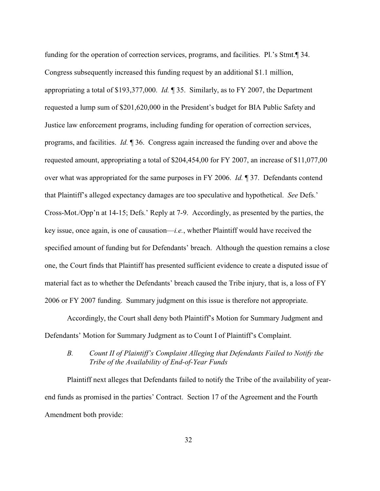funding for the operation of correction services, programs, and facilities. Pl.'s Stmt.¶ 34. Congress subsequently increased this funding request by an additional \$1.1 million, appropriating a total of \$193,377,000. *Id.* ¶ 35. Similarly, as to FY 2007, the Department requested a lump sum of \$201,620,000 in the President's budget for BIA Public Safety and Justice law enforcement programs, including funding for operation of correction services, programs, and facilities. *Id.* ¶ 36. Congress again increased the funding over and above the requested amount, appropriating a total of \$204,454,00 for FY 2007, an increase of \$11,077,00 over what was appropriated for the same purposes in FY 2006. *Id.* ¶ 37. Defendants contend that Plaintiff's alleged expectancy damages are too speculative and hypothetical. *See* Defs.' Cross-Mot./Opp'n at 14-15; Defs.' Reply at 7-9. Accordingly, as presented by the parties, the key issue, once again, is one of causation—*i.e.*, whether Plaintiff would have received the specified amount of funding but for Defendants' breach. Although the question remains a close one, the Court finds that Plaintiff has presented sufficient evidence to create a disputed issue of material fact as to whether the Defendants' breach caused the Tribe injury, that is, a loss of FY 2006 or FY 2007 funding. Summary judgment on this issue is therefore not appropriate.

Accordingly, the Court shall deny both Plaintiff's Motion for Summary Judgment and Defendants' Motion for Summary Judgment as to Count I of Plaintiff's Complaint.

# *B. Count II of Plaintiff's Complaint Alleging that Defendants Failed to Notify the Tribe of the Availability of End-of-Year Funds*

Plaintiff next alleges that Defendants failed to notify the Tribe of the availability of yearend funds as promised in the parties' Contract. Section 17 of the Agreement and the Fourth Amendment both provide: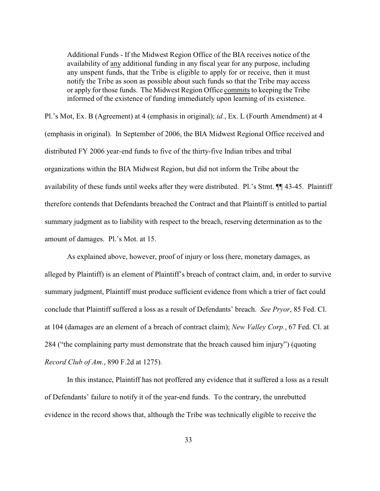Additional Funds - If the Midwest Region Office of the BIA receives notice of the availability of any additional funding in any fiscal year for any purpose, including any unspent funds, that the Tribe is eligible to apply for or receive, then it must notify the Tribe as soon as possible about such funds so that the Tribe may access or apply for those funds. The Midwest Region Office commits to keeping the Tribe informed of the existence of funding immediately upon learning of its existence.

Pl.'s Mot, Ex. B (Agreement) at 4 (emphasis in original); *id.*, Ex. L (Fourth Amendment) at 4 (emphasis in original). In September of 2006, the BIA Midwest Regional Office received and distributed FY 2006 year-end funds to five of the thirty-five Indian tribes and tribal organizations within the BIA Midwest Region, but did not inform the Tribe about the availability of these funds until weeks after they were distributed. Pl.'s Stmt. ¶¶ 43-45. Plaintiff therefore contends that Defendants breached the Contract and that Plaintiff is entitled to partial summary judgment as to liability with respect to the breach, reserving determination as to the amount of damages. Pl.'s Mot. at 15.

As explained above, however, proof of injury or loss (here, monetary damages, as alleged by Plaintiff) is an element of Plaintiff's breach of contract claim, and, in order to survive summary judgment, Plaintiff must produce sufficient evidence from which a trier of fact could conclude that Plaintiff suffered a loss as a result of Defendants' breach. *See Pryor*, 85 Fed. Cl. at 104 (damages are an element of a breach of contract claim); *New Valley Corp.*, 67 Fed. Cl. at 284 ("the complaining party must demonstrate that the breach caused him injury") (quoting *Record Club of Am.*, 890 F.2d at 1275).

In this instance, Plaintiff has not proffered any evidence that it suffered a loss as a result of Defendants' failure to notify it of the year-end funds. To the contrary, the unrebutted evidence in the record shows that, although the Tribe was technically eligible to receive the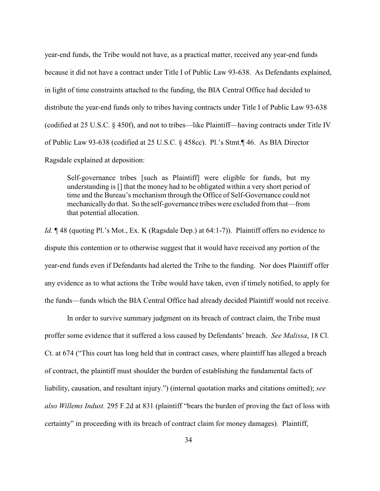year-end funds, the Tribe would not have, as a practical matter, received any year-end funds because it did not have a contract under Title I of Public Law 93-638. As Defendants explained, in light of time constraints attached to the funding, the BIA Central Office had decided to distribute the year-end funds only to tribes having contracts under Title I of Public Law 93-638 (codified at 25 U.S.C. § 450f), and not to tribes—like Plaintiff—having contracts under Title IV of Public Law 93-638 (codified at 25 U.S.C. § 458cc). Pl.'s Stmt.¶ 46. As BIA Director Ragsdale explained at deposition:

Self-governance tribes [such as Plaintiff] were eligible for funds, but my understanding is [] that the money had to be obligated within a very short period of time and the Bureau's mechanism through the Office of Self-Governance could not mechanically do that. So the self-governance tribes were excluded from that—from that potential allocation.

*Id.*  $\P$  48 (quoting Pl.'s Mot., Ex. K (Ragsdale Dep.) at 64:1-7)). Plaintiff offers no evidence to dispute this contention or to otherwise suggest that it would have received any portion of the year-end funds even if Defendants had alerted the Tribe to the funding. Nor does Plaintiff offer any evidence as to what actions the Tribe would have taken, even if timely notified, to apply for the funds—funds which the BIA Central Office had already decided Plaintiff would not receive.

In order to survive summary judgment on its breach of contract claim, the Tribe must proffer some evidence that it suffered a loss caused by Defendants' breach. *See Malissa*, 18 Cl. Ct. at 674 ("This court has long held that in contract cases, where plaintiff has alleged a breach of contract, the plaintiff must shoulder the burden of establishing the fundamental facts of liability, causation, and resultant injury.") (internal quotation marks and citations omitted); *see also Willems Indust.* 295 F.2d at 831 (plaintiff "bears the burden of proving the fact of loss with certainty" in proceeding with its breach of contract claim for money damages). Plaintiff,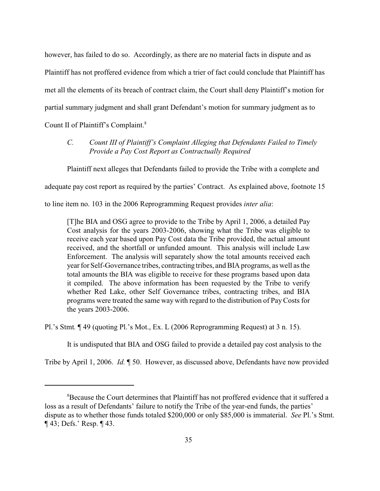however, has failed to do so. Accordingly, as there are no material facts in dispute and as Plaintiff has not proffered evidence from which a trier of fact could conclude that Plaintiff has met all the elements of its breach of contract claim, the Court shall deny Plaintiff's motion for partial summary judgment and shall grant Defendant's motion for summary judgment as to Count II of Plaintiff's Complaint.<sup>8</sup>

*C. Count III of Plaintiff's Complaint Alleging that Defendants Failed to Timely Provide a Pay Cost Report as Contractually Required*

Plaintiff next alleges that Defendants failed to provide the Tribe with a complete and

adequate pay cost report as required by the parties' Contract. As explained above, footnote 15

to line item no. 103 in the 2006 Reprogramming Request provides *inter alia*:

[T]he BIA and OSG agree to provide to the Tribe by April 1, 2006, a detailed Pay Cost analysis for the years 2003-2006, showing what the Tribe was eligible to receive each year based upon Pay Cost data the Tribe provided, the actual amount received, and the shortfall or unfunded amount. This analysis will include Law Enforcement. The analysis will separately show the total amounts received each year for Self-Governance tribes, contracting tribes, and BIA programs, as well as the total amounts the BIA was eligible to receive for these programs based upon data it compiled. The above information has been requested by the Tribe to verify whether Red Lake, other Self Governance tribes, contracting tribes, and BIA programs were treated the same way with regard to the distribution of PayCosts for the years 2003-2006.

Pl.'s Stmt*.* ¶ 49 (quoting Pl.'s Mot., Ex. L (2006 Reprogramming Request) at 3 n. 15).

It is undisputed that BIA and OSG failed to provide a detailed pay cost analysis to the

Tribe by April 1, 2006. *Id.* ¶ 50. However, as discussed above, Defendants have now provided

<sup>&</sup>lt;sup>8</sup>Because the Court determines that Plaintiff has not proffered evidence that it suffered a loss as a result of Defendants' failure to notify the Tribe of the year-end funds, the parties' dispute as to whether those funds totaled \$200,000 or only \$85,000 is immaterial. *See* Pl.'s Stmt. ¶ 43; Defs.' Resp. ¶ 43.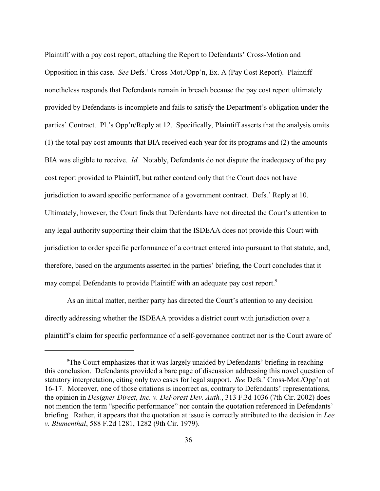Plaintiff with a pay cost report, attaching the Report to Defendants' Cross-Motion and Opposition in this case. *See* Defs.' Cross-Mot./Opp'n, Ex. A (Pay Cost Report). Plaintiff nonetheless responds that Defendants remain in breach because the pay cost report ultimately provided by Defendants is incomplete and fails to satisfy the Department's obligation under the parties' Contract. Pl.'s Opp'n/Reply at 12. Specifically, Plaintiff asserts that the analysis omits (1) the total pay cost amounts that BIA received each year for its programs and (2) the amounts BIA was eligible to receive. *Id.* Notably, Defendants do not dispute the inadequacy of the pay cost report provided to Plaintiff, but rather contend only that the Court does not have jurisdiction to award specific performance of a government contract. Defs.' Reply at 10. Ultimately, however, the Court finds that Defendants have not directed the Court's attention to any legal authority supporting their claim that the ISDEAA does not provide this Court with jurisdiction to order specific performance of a contract entered into pursuant to that statute, and, therefore, based on the arguments asserted in the parties' briefing, the Court concludes that it may compel Defendants to provide Plaintiff with an adequate pay cost report.<sup>9</sup>

As an initial matter, neither party has directed the Court's attention to any decision directly addressing whether the ISDEAA provides a district court with jurisdiction over a plaintiff's claim for specific performance of a self-governance contract nor is the Court aware of

<sup>&</sup>lt;sup>9</sup>The Court emphasizes that it was largely unaided by Defendants' briefing in reaching this conclusion. Defendants provided a bare page of discussion addressing this novel question of statutory interpretation, citing only two cases for legal support. *See* Defs.' Cross-Mot./Opp'n at 16-17. Moreover, one of those citations is incorrect as, contrary to Defendants' representations, the opinion in *Designer Direct, Inc. v. DeForest Dev. Auth.*, 313 F.3d 1036 (7th Cir. 2002) does not mention the term "specific performance" nor contain the quotation referenced in Defendants' briefing. Rather, it appears that the quotation at issue is correctly attributed to the decision in *Lee v. Blumenthal*, 588 F.2d 1281, 1282 (9th Cir. 1979).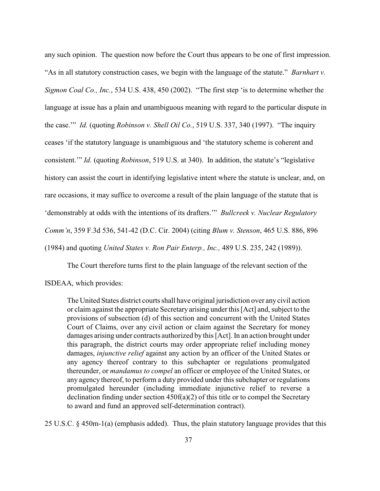any such opinion. The question now before the Court thus appears to be one of first impression. "As in all statutory construction cases, we begin with the language of the statute." *Barnhart v. Sigmon Coal Co., Inc.*, 534 U.S. 438, 450 (2002). "The first step 'is to determine whether the language at issue has a plain and unambiguous meaning with regard to the particular dispute in the case.'" *Id.* (quoting *Robinson v. Shell Oil Co.*, 519 U.S. 337, 340 (1997). "The inquiry ceases 'if the statutory language is unambiguous and 'the statutory scheme is coherent and consistent.'" *Id.* (quoting *Robinson*, 519 U.S. at 340). In addition, the statute's "legislative history can assist the court in identifying legislative intent where the statute is unclear, and, on rare occasions, it may suffice to overcome a result of the plain language of the statute that is 'demonstrably at odds with the intentions of its drafters.'" *Bullcreek v. Nuclear Regulatory Comm'n*, 359 F.3d 536, 541-42 (D.C. Cir. 2004) (citing *Blum v. Stenson*, 465 U.S. 886, 896 (1984) and quoting *United States v. Ron Pair Enterp., Inc.,* 489 U.S. 235, 242 (1989)).

The Court therefore turns first to the plain language of the relevant section of the

ISDEAA, which provides:

The United States district courts shall have original jurisdiction over any civil action or claim against the appropriate Secretary arising under this [Act] and, subject to the provisions of subsection (d) of this section and concurrent with the United States Court of Claims, over any civil action or claim against the Secretary for money damages arising under contracts authorized by this [Act]. In an action brought under this paragraph, the district courts may order appropriate relief including money damages, *injunctive relief* against any action by an officer of the United States or any agency thereof contrary to this subchapter or regulations promulgated thereunder, or *mandamus to compel* an officer or employee of the United States, or any agency thereof, to perform a duty provided under this subchapter or regulations promulgated hereunder (including immediate injunctive relief to reverse a declination finding under section 450f(a)(2) of this title or to compel the Secretary to award and fund an approved self-determination contract).

25 U.S.C. § 450m-1(a) (emphasis added). Thus, the plain statutory language provides that this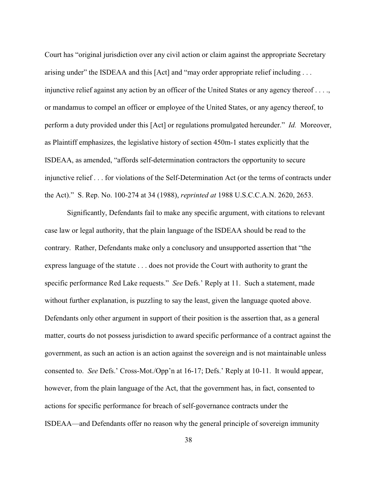Court has "original jurisdiction over any civil action or claim against the appropriate Secretary arising under" the ISDEAA and this [Act] and "may order appropriate relief including . . . injunctive relief against any action by an officer of the United States or any agency thereof . . . ., or mandamus to compel an officer or employee of the United States, or any agency thereof, to perform a duty provided under this [Act] or regulations promulgated hereunder." *Id.* Moreover, as Plaintiff emphasizes, the legislative history of section 450m-1 states explicitly that the ISDEAA, as amended, "affords self-determination contractors the opportunity to secure injunctive relief . . . for violations of the Self-Determination Act (or the terms of contracts under the Act)." S. Rep. No. 100-274 at 34 (1988), *reprinted at* 1988 U.S.C.C.A.N. 2620, 2653.

Significantly, Defendants fail to make any specific argument, with citations to relevant case law or legal authority, that the plain language of the ISDEAA should be read to the contrary. Rather, Defendants make only a conclusory and unsupported assertion that "the express language of the statute . . . does not provide the Court with authority to grant the specific performance Red Lake requests." *See* Defs.' Reply at 11. Such a statement, made without further explanation, is puzzling to say the least, given the language quoted above. Defendants only other argument in support of their position is the assertion that, as a general matter, courts do not possess jurisdiction to award specific performance of a contract against the government, as such an action is an action against the sovereign and is not maintainable unless consented to. *See* Defs.' Cross-Mot./Opp'n at 16-17; Defs.' Reply at 10-11. It would appear, however, from the plain language of the Act, that the government has, in fact, consented to actions for specific performance for breach of self-governance contracts under the ISDEAA—and Defendants offer no reason why the general principle of sovereign immunity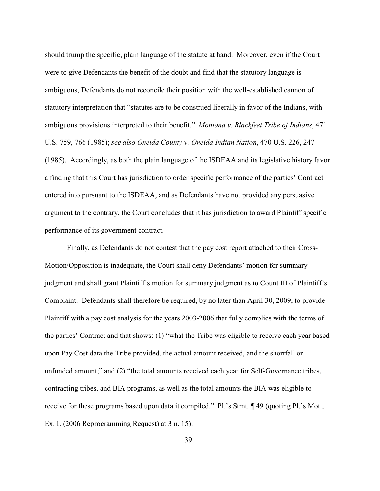should trump the specific, plain language of the statute at hand. Moreover, even if the Court were to give Defendants the benefit of the doubt and find that the statutory language is ambiguous, Defendants do not reconcile their position with the well-established cannon of statutory interpretation that "statutes are to be construed liberally in favor of the Indians, with ambiguous provisions interpreted to their benefit." *Montana v. Blackfeet Tribe of Indians*, 471 U.S. 759, 766 (1985); *see also Oneida County v. Oneida Indian Nation*, 470 U.S. 226, 247 (1985). Accordingly, as both the plain language of the ISDEAA and its legislative history favor a finding that this Court has jurisdiction to order specific performance of the parties' Contract entered into pursuant to the ISDEAA, and as Defendants have not provided any persuasive argument to the contrary, the Court concludes that it has jurisdiction to award Plaintiff specific performance of its government contract.

Finally, as Defendants do not contest that the pay cost report attached to their Cross-Motion/Opposition is inadequate, the Court shall deny Defendants' motion for summary judgment and shall grant Plaintiff's motion for summary judgment as to Count III of Plaintiff's Complaint. Defendants shall therefore be required, by no later than April 30, 2009, to provide Plaintiff with a pay cost analysis for the years 2003-2006 that fully complies with the terms of the parties' Contract and that shows: (1) "what the Tribe was eligible to receive each year based upon Pay Cost data the Tribe provided, the actual amount received, and the shortfall or unfunded amount;" and (2) "the total amounts received each year for Self-Governance tribes, contracting tribes, and BIA programs, as well as the total amounts the BIA was eligible to receive for these programs based upon data it compiled." Pl.'s Stmt*.* ¶ 49 (quoting Pl.'s Mot., Ex. L (2006 Reprogramming Request) at 3 n. 15).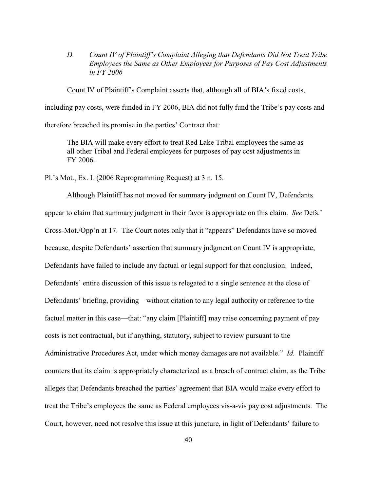*D. Count IV of Plaintiff's Complaint Alleging that Defendants Did Not Treat Tribe Employees the Same as Other Employees for Purposes of Pay Cost Adjustments in FY 2006*

Count IV of Plaintiff's Complaint asserts that, although all of BIA's fixed costs,

including pay costs, were funded in FY 2006, BIA did not fully fund the Tribe's pay costs and

therefore breached its promise in the parties' Contract that:

The BIA will make every effort to treat Red Lake Tribal employees the same as all other Tribal and Federal employees for purposes of pay cost adjustments in FY 2006.

Pl.'s Mot., Ex. L (2006 Reprogramming Request) at 3 n. 15.

Although Plaintiff has not moved for summary judgment on Count IV, Defendants appear to claim that summary judgment in their favor is appropriate on this claim. *See* Defs.' Cross-Mot./Opp'n at 17. The Court notes only that it "appears" Defendants have so moved because, despite Defendants' assertion that summary judgment on Count IV is appropriate, Defendants have failed to include any factual or legal support for that conclusion. Indeed, Defendants' entire discussion of this issue is relegated to a single sentence at the close of Defendants' briefing, providing—without citation to any legal authority or reference to the factual matter in this case—that: "any claim [Plaintiff] may raise concerning payment of pay costs is not contractual, but if anything, statutory, subject to review pursuant to the Administrative Procedures Act, under which money damages are not available." *Id.* Plaintiff counters that its claim is appropriately characterized as a breach of contract claim, as the Tribe alleges that Defendants breached the parties' agreement that BIA would make every effort to treat the Tribe's employees the same as Federal employees vis-a-vis pay cost adjustments. The Court, however, need not resolve this issue at this juncture, in light of Defendants' failure to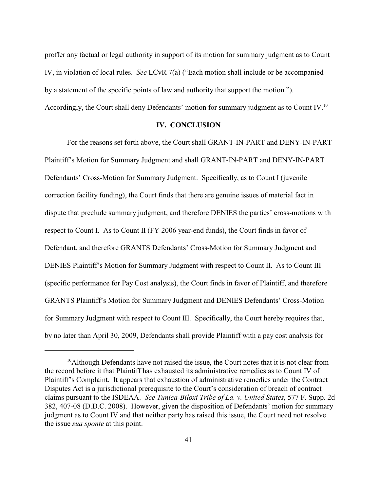proffer any factual or legal authority in support of its motion for summary judgment as to Count IV, in violation of local rules. *See* LCvR 7(a) ("Each motion shall include or be accompanied by a statement of the specific points of law and authority that support the motion."). Accordingly, the Court shall deny Defendants' motion for summary judgment as to Count IV.<sup>10</sup>

#### **IV. CONCLUSION**

For the reasons set forth above, the Court shall GRANT-IN-PART and DENY-IN-PART Plaintiff's Motion for Summary Judgment and shall GRANT-IN-PART and DENY-IN-PART Defendants' Cross-Motion for Summary Judgment. Specifically, as to Count I (juvenile correction facility funding), the Court finds that there are genuine issues of material fact in dispute that preclude summary judgment, and therefore DENIES the parties' cross-motions with respect to Count I. As to Count II (FY 2006 year-end funds), the Court finds in favor of Defendant, and therefore GRANTS Defendants' Cross-Motion for Summary Judgment and DENIES Plaintiff's Motion for Summary Judgment with respect to Count II. As to Count III (specific performance for Pay Cost analysis), the Court finds in favor of Plaintiff, and therefore GRANTS Plaintiff's Motion for Summary Judgment and DENIES Defendants' Cross-Motion for Summary Judgment with respect to Count III. Specifically, the Court hereby requires that, by no later than April 30, 2009, Defendants shall provide Plaintiff with a pay cost analysis for

<sup>&</sup>lt;sup>10</sup> Although Defendants have not raised the issue, the Court notes that it is not clear from the record before it that Plaintiff has exhausted its administrative remedies as to Count IV of Plaintiff's Complaint. It appears that exhaustion of administrative remedies under the Contract Disputes Act is a jurisdictional prerequisite to the Court's consideration of breach of contract claims pursuant to the ISDEAA. *See Tunica-Biloxi Tribe of La. v. United States*, 577 F. Supp. 2d 382, 407-08 (D.D.C. 2008). However, given the disposition of Defendants' motion for summary judgment as to Count IV and that neither party has raised this issue, the Court need not resolve the issue *sua sponte* at this point.